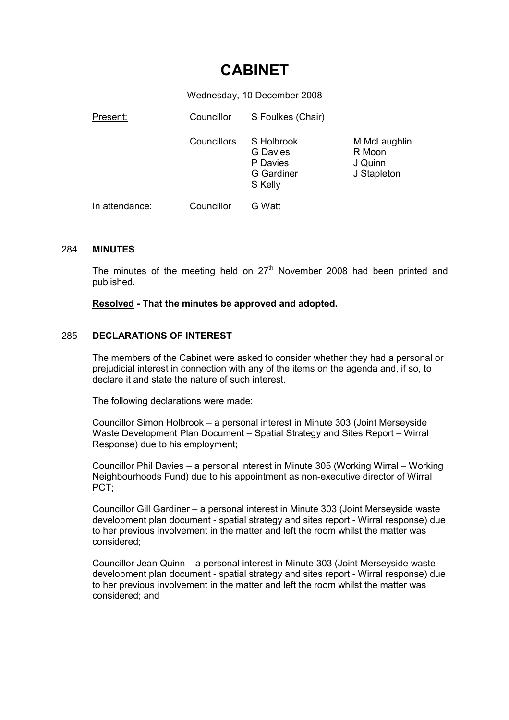# CABINET

Wednesday, 10 December 2008

| Present:       | Councillor  | S Foulkes (Chair)                                                         |                                                  |
|----------------|-------------|---------------------------------------------------------------------------|--------------------------------------------------|
|                | Councillors | S Holbrook<br><b>G</b> Davies<br>P Davies<br><b>G</b> Gardiner<br>S Kelly | M McLaughlin<br>R Moon<br>J Quinn<br>J Stapleton |
| In attendance: | Councillor  | G Watt                                                                    |                                                  |

## 284 MINUTES

The minutes of the meeting held on  $27<sup>th</sup>$  November 2008 had been printed and published.

## Resolved - That the minutes be approved and adopted.

## 285 DECLARATIONS OF INTEREST

The members of the Cabinet were asked to consider whether they had a personal or prejudicial interest in connection with any of the items on the agenda and, if so, to declare it and state the nature of such interest.

The following declarations were made:

Councillor Simon Holbrook – a personal interest in Minute 303 (Joint Merseyside Waste Development Plan Document – Spatial Strategy and Sites Report – Wirral Response) due to his employment;

Councillor Phil Davies – a personal interest in Minute 305 (Working Wirral – Working Neighbourhoods Fund) due to his appointment as non-executive director of Wirral PCT;

Councillor Gill Gardiner – a personal interest in Minute 303 (Joint Merseyside waste development plan document - spatial strategy and sites report - Wirral response) due to her previous involvement in the matter and left the room whilst the matter was considered;

Councillor Jean Quinn – a personal interest in Minute 303 (Joint Merseyside waste development plan document - spatial strategy and sites report - Wirral response) due to her previous involvement in the matter and left the room whilst the matter was considered; and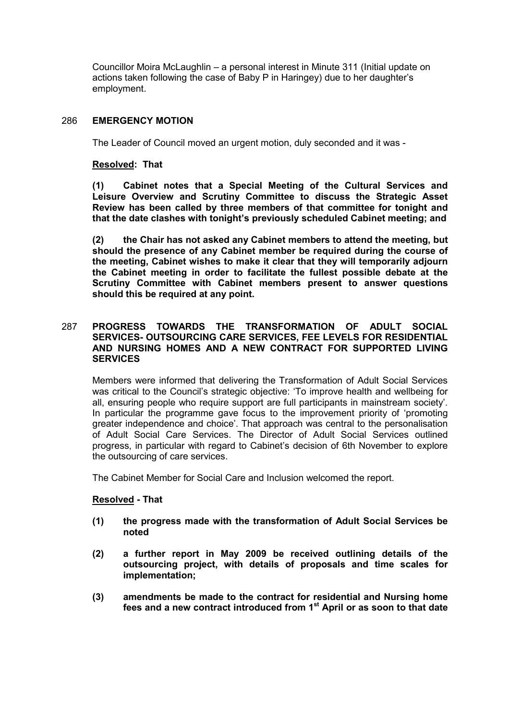Councillor Moira McLaughlin – a personal interest in Minute 311 (Initial update on actions taken following the case of Baby P in Haringey) due to her daughter's employment.

## 286 EMERGENCY MOTION

The Leader of Council moved an urgent motion, duly seconded and it was -

## Resolved: That

(1) Cabinet notes that a Special Meeting of the Cultural Services and Leisure Overview and Scrutiny Committee to discuss the Strategic Asset Review has been called by three members of that committee for tonight and that the date clashes with tonight's previously scheduled Cabinet meeting; and

(2) the Chair has not asked any Cabinet members to attend the meeting, but should the presence of any Cabinet member be required during the course of the meeting, Cabinet wishes to make it clear that they will temporarily adjourn the Cabinet meeting in order to facilitate the fullest possible debate at the Scrutiny Committee with Cabinet members present to answer questions should this be required at any point.

## 287 PROGRESS TOWARDS THE TRANSFORMATION OF ADULT SOCIAL SERVICES- OUTSOURCING CARE SERVICES, FEE LEVELS FOR RESIDENTIAL AND NURSING HOMES AND A NEW CONTRACT FOR SUPPORTED LIVING **SERVICES**

Members were informed that delivering the Transformation of Adult Social Services was critical to the Council's strategic objective: 'To improve health and wellbeing for all, ensuring people who require support are full participants in mainstream society'. In particular the programme gave focus to the improvement priority of 'promoting greater independence and choice'. That approach was central to the personalisation of Adult Social Care Services. The Director of Adult Social Services outlined progress, in particular with regard to Cabinet's decision of 6th November to explore the outsourcing of care services.

The Cabinet Member for Social Care and Inclusion welcomed the report.

## Resolved - That

- (1) the progress made with the transformation of Adult Social Services be noted
- (2) a further report in May 2009 be received outlining details of the outsourcing project, with details of proposals and time scales for implementation;
- (3) amendments be made to the contract for residential and Nursing home fees and a new contract introduced from 1<sup>st</sup> April or as soon to that date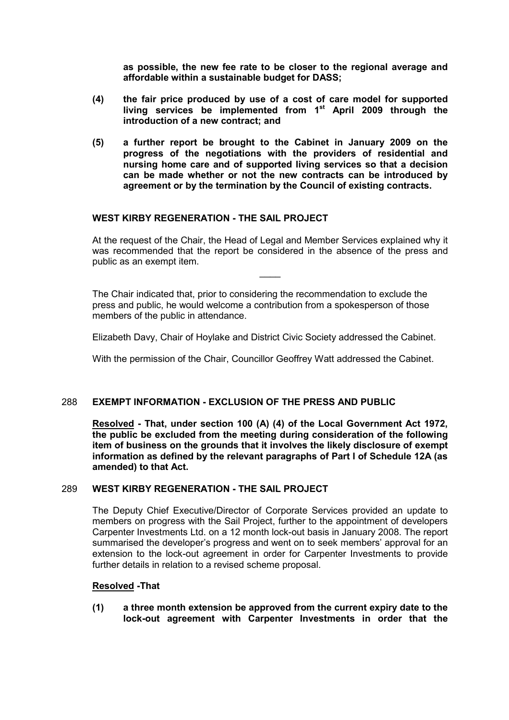as possible, the new fee rate to be closer to the regional average and affordable within a sustainable budget for DASS;

- (4) the fair price produced by use of a cost of care model for supported living services be implemented from  $1<sup>st</sup>$  April 2009 through the introduction of a new contract; and
- (5) a further report be brought to the Cabinet in January 2009 on the progress of the negotiations with the providers of residential and nursing home care and of supported living services so that a decision can be made whether or not the new contracts can be introduced by agreement or by the termination by the Council of existing contracts.

## WEST KIRBY REGENERATION - THE SAIL PROJECT

At the request of the Chair, the Head of Legal and Member Services explained why it was recommended that the report be considered in the absence of the press and public as an exempt item.

 $\overline{\phantom{a}}$ 

The Chair indicated that, prior to considering the recommendation to exclude the press and public, he would welcome a contribution from a spokesperson of those members of the public in attendance.

Elizabeth Davy, Chair of Hoylake and District Civic Society addressed the Cabinet.

With the permission of the Chair, Councillor Geoffrey Watt addressed the Cabinet.

## 288 EXEMPT INFORMATION - EXCLUSION OF THE PRESS AND PUBLIC

Resolved - That, under section 100 (A) (4) of the Local Government Act 1972, the public be excluded from the meeting during consideration of the following item of business on the grounds that it involves the likely disclosure of exempt information as defined by the relevant paragraphs of Part I of Schedule 12A (as amended) to that Act.

#### 289 WEST KIRBY REGENERATION - THE SAIL PROJECT

The Deputy Chief Executive/Director of Corporate Services provided an update to members on progress with the Sail Project, further to the appointment of developers Carpenter Investments Ltd. on a 12 month lock-out basis in January 2008. The report summarised the developer's progress and went on to seek members' approval for an extension to the lock-out agreement in order for Carpenter Investments to provide further details in relation to a revised scheme proposal.

#### Resolved -That

(1) a three month extension be approved from the current expiry date to the lock-out agreement with Carpenter Investments in order that the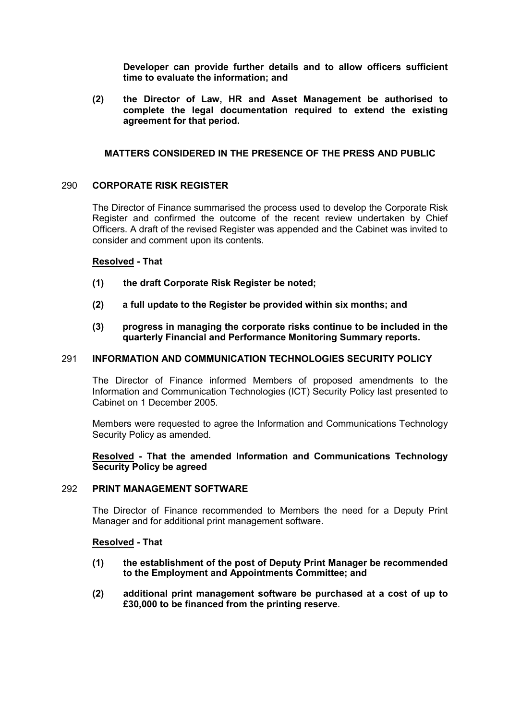Developer can provide further details and to allow officers sufficient time to evaluate the information; and

(2) the Director of Law, HR and Asset Management be authorised to complete the legal documentation required to extend the existing agreement for that period.

## MATTERS CONSIDERED IN THE PRESENCE OF THE PRESS AND PUBLIC

#### 290 CORPORATE RISK REGISTER

The Director of Finance summarised the process used to develop the Corporate Risk Register and confirmed the outcome of the recent review undertaken by Chief Officers. A draft of the revised Register was appended and the Cabinet was invited to consider and comment upon its contents.

#### Resolved - That

- (1) the draft Corporate Risk Register be noted;
- (2) a full update to the Register be provided within six months; and
- (3) progress in managing the corporate risks continue to be included in the quarterly Financial and Performance Monitoring Summary reports.

## 291 INFORMATION AND COMMUNICATION TECHNOLOGIES SECURITY POLICY

The Director of Finance informed Members of proposed amendments to the Information and Communication Technologies (ICT) Security Policy last presented to Cabinet on 1 December 2005.

Members were requested to agree the Information and Communications Technology Security Policy as amended.

## Resolved - That the amended Information and Communications Technology Security Policy be agreed

#### 292 PRINT MANAGEMENT SOFTWARE

The Director of Finance recommended to Members the need for a Deputy Print Manager and for additional print management software.

#### Resolved - That

- (1) the establishment of the post of Deputy Print Manager be recommended to the Employment and Appointments Committee; and
- (2) additional print management software be purchased at a cost of up to £30,000 to be financed from the printing reserve.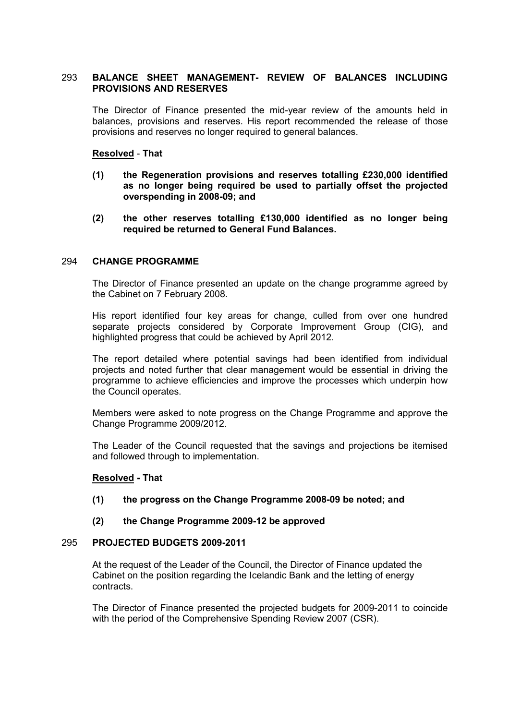## 293 BALANCE SHEET MANAGEMENT- REVIEW OF BALANCES INCLUDING PROVISIONS AND RESERVES

The Director of Finance presented the mid-year review of the amounts held in balances, provisions and reserves. His report recommended the release of those provisions and reserves no longer required to general balances.

## Resolved - That

- (1) the Regeneration provisions and reserves totalling £230,000 identified as no longer being required be used to partially offset the projected overspending in 2008-09; and
- (2) the other reserves totalling £130,000 identified as no longer being required be returned to General Fund Balances.

#### 294 CHANGE PROGRAMME

The Director of Finance presented an update on the change programme agreed by the Cabinet on 7 February 2008.

His report identified four key areas for change, culled from over one hundred separate projects considered by Corporate Improvement Group (CIG), and highlighted progress that could be achieved by April 2012.

The report detailed where potential savings had been identified from individual projects and noted further that clear management would be essential in driving the programme to achieve efficiencies and improve the processes which underpin how the Council operates.

Members were asked to note progress on the Change Programme and approve the Change Programme 2009/2012.

The Leader of the Council requested that the savings and projections be itemised and followed through to implementation.

#### Resolved - That

(1) the progress on the Change Programme 2008-09 be noted; and

## (2) the Change Programme 2009-12 be approved

#### 295 PROJECTED BUDGETS 2009-2011

At the request of the Leader of the Council, the Director of Finance updated the Cabinet on the position regarding the Icelandic Bank and the letting of energy contracts.

The Director of Finance presented the projected budgets for 2009-2011 to coincide with the period of the Comprehensive Spending Review 2007 (CSR).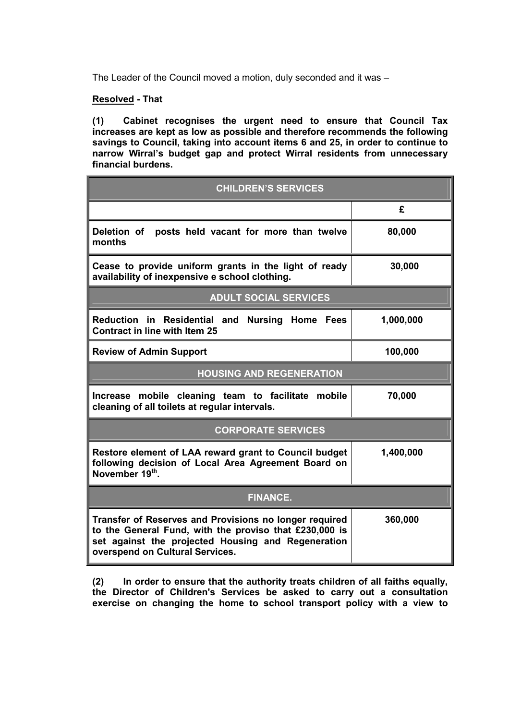The Leader of the Council moved a motion, duly seconded and it was –

## Resolved - That

(1) Cabinet recognises the urgent need to ensure that Council Tax increases are kept as low as possible and therefore recommends the following savings to Council, taking into account items 6 and 25, in order to continue to narrow Wirral's budget gap and protect Wirral residents from unnecessary financial burdens.

| <b>CHILDREN'S SERVICES</b>                                                                                                                                                                                |           |  |  |  |
|-----------------------------------------------------------------------------------------------------------------------------------------------------------------------------------------------------------|-----------|--|--|--|
|                                                                                                                                                                                                           | £         |  |  |  |
| Deletion of<br>posts held vacant for more than twelve<br>months                                                                                                                                           | 80,000    |  |  |  |
| Cease to provide uniform grants in the light of ready<br>availability of inexpensive e school clothing.                                                                                                   | 30,000    |  |  |  |
| <b>ADULT SOCIAL SERVICES</b>                                                                                                                                                                              |           |  |  |  |
| Reduction in Residential and Nursing Home Fees<br><b>Contract in line with Item 25</b>                                                                                                                    | 1,000,000 |  |  |  |
| <b>Review of Admin Support</b>                                                                                                                                                                            | 100,000   |  |  |  |
| <b>HOUSING AND REGENERATION</b>                                                                                                                                                                           |           |  |  |  |
| Increase mobile cleaning team to facilitate mobile<br>cleaning of all toilets at regular intervals.                                                                                                       | 70,000    |  |  |  |
| <b>CORPORATE SERVICES</b>                                                                                                                                                                                 |           |  |  |  |
| Restore element of LAA reward grant to Council budget<br>following decision of Local Area Agreement Board on<br>November 19th.                                                                            | 1,400,000 |  |  |  |
| <b>FINANCE.</b>                                                                                                                                                                                           |           |  |  |  |
| Transfer of Reserves and Provisions no longer required<br>to the General Fund, with the proviso that £230,000 is<br>set against the projected Housing and Regeneration<br>overspend on Cultural Services. | 360,000   |  |  |  |

(2) In order to ensure that the authority treats children of all faiths equally, the Director of Children's Services be asked to carry out a consultation exercise on changing the home to school transport policy with a view to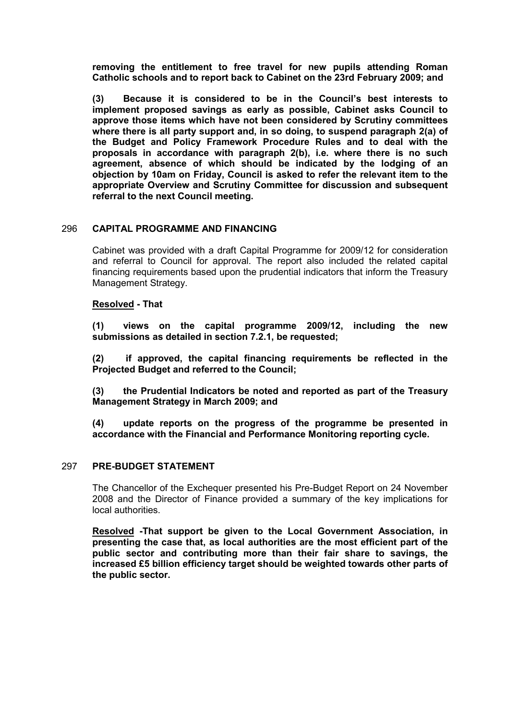removing the entitlement to free travel for new pupils attending Roman Catholic schools and to report back to Cabinet on the 23rd February 2009; and

(3) Because it is considered to be in the Council's best interests to implement proposed savings as early as possible, Cabinet asks Council to approve those items which have not been considered by Scrutiny committees where there is all party support and, in so doing, to suspend paragraph 2(a) of the Budget and Policy Framework Procedure Rules and to deal with the proposals in accordance with paragraph 2(b), i.e. where there is no such agreement, absence of which should be indicated by the lodging of an objection by 10am on Friday, Council is asked to refer the relevant item to the appropriate Overview and Scrutiny Committee for discussion and subsequent referral to the next Council meeting.

## 296 CAPITAL PROGRAMME AND FINANCING

Cabinet was provided with a draft Capital Programme for 2009/12 for consideration and referral to Council for approval. The report also included the related capital financing requirements based upon the prudential indicators that inform the Treasury Management Strategy.

## Resolved - That

(1) views on the capital programme 2009/12, including the new submissions as detailed in section 7.2.1, be requested:

(2) if approved, the capital financing requirements be reflected in the Projected Budget and referred to the Council;

(3) the Prudential Indicators be noted and reported as part of the Treasury Management Strategy in March 2009; and

(4) update reports on the progress of the programme be presented in accordance with the Financial and Performance Monitoring reporting cycle.

#### 297 PRE-BUDGET STATEMENT

The Chancellor of the Exchequer presented his Pre-Budget Report on 24 November 2008 and the Director of Finance provided a summary of the key implications for local authorities.

Resolved -That support be given to the Local Government Association, in presenting the case that, as local authorities are the most efficient part of the public sector and contributing more than their fair share to savings, the increased £5 billion efficiency target should be weighted towards other parts of the public sector.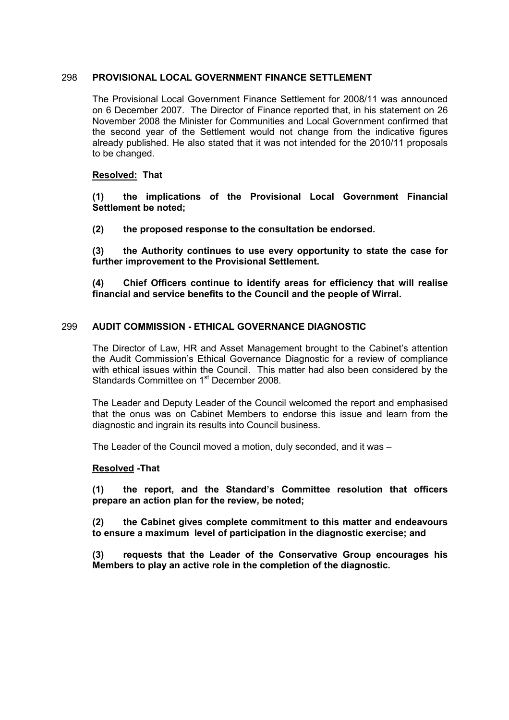#### 298 PROVISIONAL LOCAL GOVERNMENT FINANCE SETTLEMENT

The Provisional Local Government Finance Settlement for 2008/11 was announced on 6 December 2007. The Director of Finance reported that, in his statement on 26 November 2008 the Minister for Communities and Local Government confirmed that the second year of the Settlement would not change from the indicative figures already published. He also stated that it was not intended for the 2010/11 proposals to be changed.

## Resolved: That

(1) the implications of the Provisional Local Government Financial Settlement be noted;

(2) the proposed response to the consultation be endorsed.

(3) the Authority continues to use every opportunity to state the case for further improvement to the Provisional Settlement.

(4) Chief Officers continue to identify areas for efficiency that will realise financial and service benefits to the Council and the people of Wirral.

## 299 AUDIT COMMISSION - ETHICAL GOVERNANCE DIAGNOSTIC

The Director of Law, HR and Asset Management brought to the Cabinet's attention the Audit Commission's Ethical Governance Diagnostic for a review of compliance with ethical issues within the Council. This matter had also been considered by the Standards Committee on 1<sup>st</sup> December 2008.

The Leader and Deputy Leader of the Council welcomed the report and emphasised that the onus was on Cabinet Members to endorse this issue and learn from the diagnostic and ingrain its results into Council business.

The Leader of the Council moved a motion, duly seconded, and it was –

#### Resolved -That

(1) the report, and the Standard's Committee resolution that officers prepare an action plan for the review, be noted;

(2) the Cabinet gives complete commitment to this matter and endeavours to ensure a maximum level of participation in the diagnostic exercise; and

(3) requests that the Leader of the Conservative Group encourages his Members to play an active role in the completion of the diagnostic.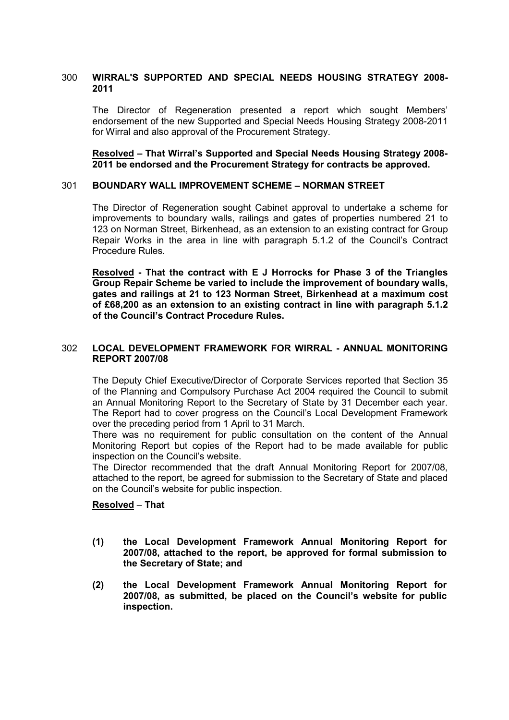## 300 WIRRAL'S SUPPORTED AND SPECIAL NEEDS HOUSING STRATEGY 2008- 2011

The Director of Regeneration presented a report which sought Members' endorsement of the new Supported and Special Needs Housing Strategy 2008-2011 for Wirral and also approval of the Procurement Strategy.

## Resolved – That Wirral's Supported and Special Needs Housing Strategy 2008- 2011 be endorsed and the Procurement Strategy for contracts be approved.

## 301 BOUNDARY WALL IMPROVEMENT SCHEME – NORMAN STREET

The Director of Regeneration sought Cabinet approval to undertake a scheme for improvements to boundary walls, railings and gates of properties numbered 21 to 123 on Norman Street, Birkenhead, as an extension to an existing contract for Group Repair Works in the area in line with paragraph 5.1.2 of the Council's Contract Procedure Rules.

Resolved - That the contract with E J Horrocks for Phase 3 of the Triangles Group Repair Scheme be varied to include the improvement of boundary walls, gates and railings at 21 to 123 Norman Street, Birkenhead at a maximum cost of £68,200 as an extension to an existing contract in line with paragraph 5.1.2 of the Council's Contract Procedure Rules.

## 302 LOCAL DEVELOPMENT FRAMEWORK FOR WIRRAL - ANNUAL MONITORING REPORT 2007/08

The Deputy Chief Executive/Director of Corporate Services reported that Section 35 of the Planning and Compulsory Purchase Act 2004 required the Council to submit an Annual Monitoring Report to the Secretary of State by 31 December each year. The Report had to cover progress on the Council's Local Development Framework over the preceding period from 1 April to 31 March.

There was no requirement for public consultation on the content of the Annual Monitoring Report but copies of the Report had to be made available for public inspection on the Council's website.

The Director recommended that the draft Annual Monitoring Report for 2007/08, attached to the report, be agreed for submission to the Secretary of State and placed on the Council's website for public inspection.

#### Resolved – That

- (1) the Local Development Framework Annual Monitoring Report for 2007/08, attached to the report, be approved for formal submission to the Secretary of State; and
- (2) the Local Development Framework Annual Monitoring Report for 2007/08, as submitted, be placed on the Council's website for public inspection.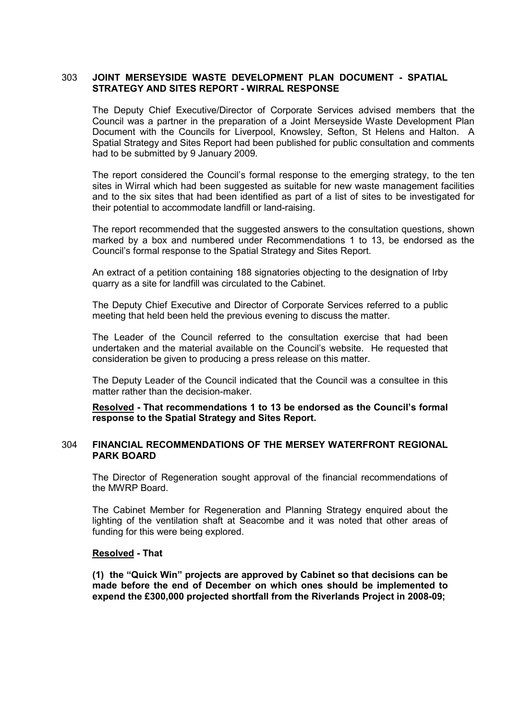## 303 JOINT MERSEYSIDE WASTE DEVELOPMENT PLAN DOCUMENT - SPATIAL STRATEGY AND SITES REPORT - WIRRAL RESPONSE

The Deputy Chief Executive/Director of Corporate Services advised members that the Council was a partner in the preparation of a Joint Merseyside Waste Development Plan Document with the Councils for Liverpool, Knowsley, Sefton, St Helens and Halton. A Spatial Strategy and Sites Report had been published for public consultation and comments had to be submitted by 9 January 2009.

The report considered the Council's formal response to the emerging strategy, to the ten sites in Wirral which had been suggested as suitable for new waste management facilities and to the six sites that had been identified as part of a list of sites to be investigated for their potential to accommodate landfill or land-raising.

The report recommended that the suggested answers to the consultation questions, shown marked by a box and numbered under Recommendations 1 to 13, be endorsed as the Council's formal response to the Spatial Strategy and Sites Report.

An extract of a petition containing 188 signatories objecting to the designation of Irby quarry as a site for landfill was circulated to the Cabinet.

The Deputy Chief Executive and Director of Corporate Services referred to a public meeting that held been held the previous evening to discuss the matter.

The Leader of the Council referred to the consultation exercise that had been undertaken and the material available on the Council's website. He requested that consideration be given to producing a press release on this matter.

The Deputy Leader of the Council indicated that the Council was a consultee in this matter rather than the decision-maker.

Resolved - That recommendations 1 to 13 be endorsed as the Council's formal response to the Spatial Strategy and Sites Report.

#### 304 FINANCIAL RECOMMENDATIONS OF THE MERSEY WATERFRONT REGIONAL PARK BOARD

The Director of Regeneration sought approval of the financial recommendations of the MWRP Board.

The Cabinet Member for Regeneration and Planning Strategy enquired about the lighting of the ventilation shaft at Seacombe and it was noted that other areas of funding for this were being explored.

#### Resolved - That

(1) the "Quick Win" projects are approved by Cabinet so that decisions can be made before the end of December on which ones should be implemented to expend the £300,000 projected shortfall from the Riverlands Project in 2008-09;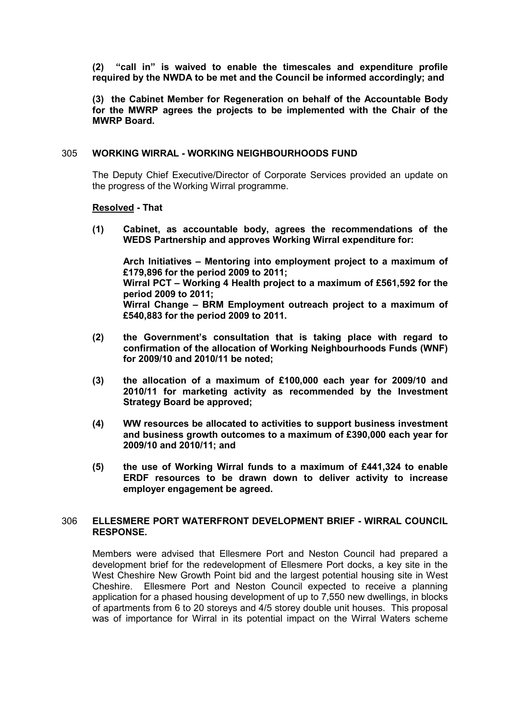(2) "call in" is waived to enable the timescales and expenditure profile required by the NWDA to be met and the Council be informed accordingly; and

(3) the Cabinet Member for Regeneration on behalf of the Accountable Body for the MWRP agrees the projects to be implemented with the Chair of the MWRP Board.

## 305 WORKING WIRRAL - WORKING NEIGHBOURHOODS FUND

The Deputy Chief Executive/Director of Corporate Services provided an update on the progress of the Working Wirral programme.

## Resolved - That

(1) Cabinet, as accountable body, agrees the recommendations of the WEDS Partnership and approves Working Wirral expenditure for:

 Arch Initiatives – Mentoring into employment project to a maximum of £179,896 for the period 2009 to 2011; Wirral PCT – Working 4 Health project to a maximum of £561,592 for the period 2009 to 2011; Wirral Change – BRM Employment outreach project to a maximum of £540,883 for the period 2009 to 2011.

- (2) the Government's consultation that is taking place with regard to confirmation of the allocation of Working Neighbourhoods Funds (WNF) for 2009/10 and 2010/11 be noted;
- (3) the allocation of a maximum of £100,000 each year for 2009/10 and 2010/11 for marketing activity as recommended by the Investment Strategy Board be approved;
- (4) WW resources be allocated to activities to support business investment and business growth outcomes to a maximum of £390,000 each year for 2009/10 and 2010/11; and
- (5) the use of Working Wirral funds to a maximum of  $£441,324$  to enable ERDF resources to be drawn down to deliver activity to increase employer engagement be agreed.

#### 306 ELLESMERE PORT WATERFRONT DEVELOPMENT BRIEF - WIRRAL COUNCIL RESPONSE.

Members were advised that Ellesmere Port and Neston Council had prepared a development brief for the redevelopment of Ellesmere Port docks, a key site in the West Cheshire New Growth Point bid and the largest potential housing site in West Cheshire. Ellesmere Port and Neston Council expected to receive a planning application for a phased housing development of up to 7,550 new dwellings, in blocks of apartments from 6 to 20 storeys and 4/5 storey double unit houses. This proposal was of importance for Wirral in its potential impact on the Wirral Waters scheme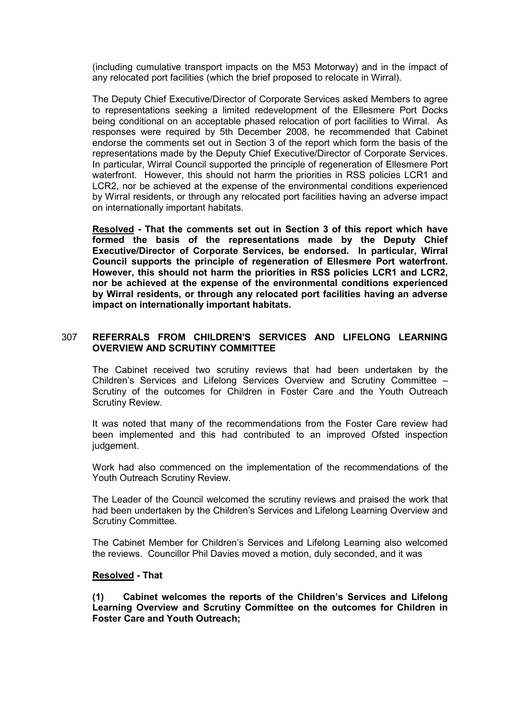(including cumulative transport impacts on the M53 Motorway) and in the impact of any relocated port facilities (which the brief proposed to relocate in Wirral).

The Deputy Chief Executive/Director of Corporate Services asked Members to agree to representations seeking a limited redevelopment of the Ellesmere Port Docks being conditional on an acceptable phased relocation of port facilities to Wirral. As responses were required by 5th December 2008, he recommended that Cabinet endorse the comments set out in Section 3 of the report which form the basis of the representations made by the Deputy Chief Executive/Director of Corporate Services. In particular, Wirral Council supported the principle of regeneration of Ellesmere Port waterfront. However, this should not harm the priorities in RSS policies LCR1 and LCR2, nor be achieved at the expense of the environmental conditions experienced by Wirral residents, or through any relocated port facilities having an adverse impact on internationally important habitats.

Resolved - That the comments set out in Section 3 of this report which have formed the basis of the representations made by the Deputy Chief Executive/Director of Corporate Services, be endorsed. In particular, Wirral Council supports the principle of regeneration of Ellesmere Port waterfront. However, this should not harm the priorities in RSS policies LCR1 and LCR2, nor be achieved at the expense of the environmental conditions experienced by Wirral residents, or through any relocated port facilities having an adverse impact on internationally important habitats.

## 307 REFERRALS FROM CHILDREN'S SERVICES AND LIFELONG LEARNING OVERVIEW AND SCRUTINY COMMITTEE

The Cabinet received two scrutiny reviews that had been undertaken by the Children's Services and Lifelong Services Overview and Scrutiny Committee – Scrutiny of the outcomes for Children in Foster Care and the Youth Outreach Scrutiny Review.

It was noted that many of the recommendations from the Foster Care review had been implemented and this had contributed to an improved Ofsted inspection judgement.

Work had also commenced on the implementation of the recommendations of the Youth Outreach Scrutiny Review.

The Leader of the Council welcomed the scrutiny reviews and praised the work that had been undertaken by the Children's Services and Lifelong Learning Overview and Scrutiny Committee.

The Cabinet Member for Children's Services and Lifelong Learning also welcomed the reviews. Councillor Phil Davies moved a motion, duly seconded, and it was

## Resolved - That

(1) Cabinet welcomes the reports of the Children's Services and Lifelong Learning Overview and Scrutiny Committee on the outcomes for Children in Foster Care and Youth Outreach;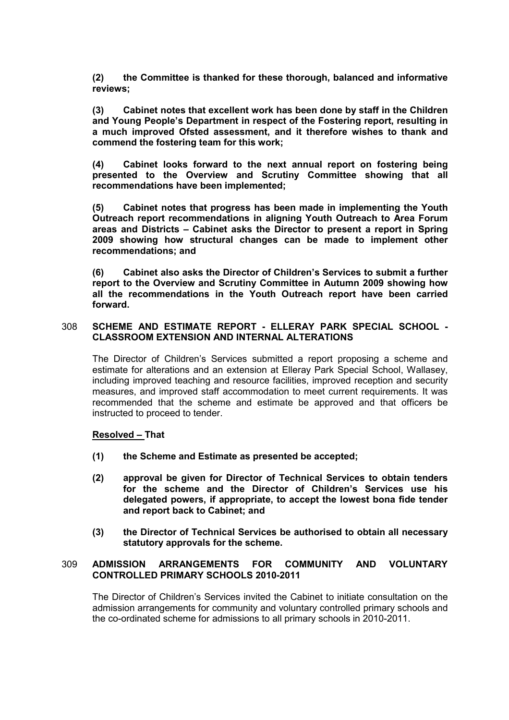(2) the Committee is thanked for these thorough, balanced and informative reviews;

(3) Cabinet notes that excellent work has been done by staff in the Children and Young People's Department in respect of the Fostering report, resulting in a much improved Ofsted assessment, and it therefore wishes to thank and commend the fostering team for this work;

(4) Cabinet looks forward to the next annual report on fostering being presented to the Overview and Scrutiny Committee showing that all recommendations have been implemented;

(5) Cabinet notes that progress has been made in implementing the Youth Outreach report recommendations in aligning Youth Outreach to Area Forum areas and Districts – Cabinet asks the Director to present a report in Spring 2009 showing how structural changes can be made to implement other recommendations; and

(6) Cabinet also asks the Director of Children's Services to submit a further report to the Overview and Scrutiny Committee in Autumn 2009 showing how all the recommendations in the Youth Outreach report have been carried forward.

## 308 SCHEME AND ESTIMATE REPORT - ELLERAY PARK SPECIAL SCHOOL - CLASSROOM EXTENSION AND INTERNAL ALTERATIONS

The Director of Children's Services submitted a report proposing a scheme and estimate for alterations and an extension at Elleray Park Special School, Wallasey, including improved teaching and resource facilities, improved reception and security measures, and improved staff accommodation to meet current requirements. It was recommended that the scheme and estimate be approved and that officers be instructed to proceed to tender.

#### Resolved – That

- (1) the Scheme and Estimate as presented be accepted;
- (2) approval be given for Director of Technical Services to obtain tenders for the scheme and the Director of Children's Services use his delegated powers, if appropriate, to accept the lowest bona fide tender and report back to Cabinet; and
- (3) the Director of Technical Services be authorised to obtain all necessary statutory approvals for the scheme.

## 309 ADMISSION ARRANGEMENTS FOR COMMUNITY AND VOLUNTARY CONTROLLED PRIMARY SCHOOLS 2010-2011

The Director of Children's Services invited the Cabinet to initiate consultation on the admission arrangements for community and voluntary controlled primary schools and the co-ordinated scheme for admissions to all primary schools in 2010-2011.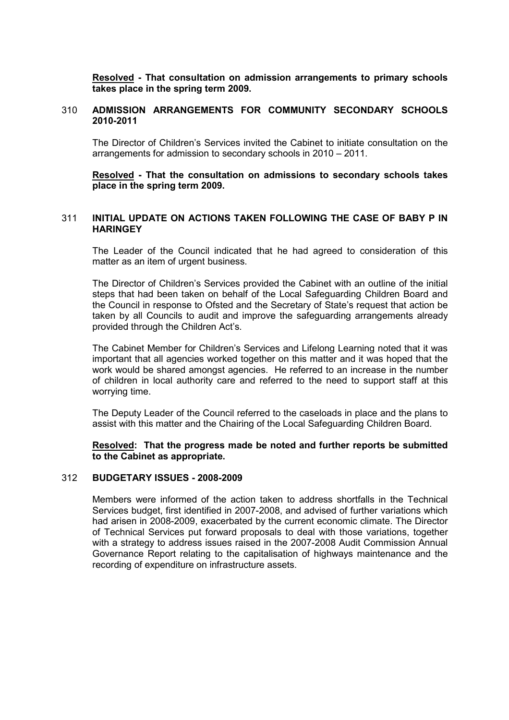Resolved - That consultation on admission arrangements to primary schools takes place in the spring term 2009.

## 310 ADMISSION ARRANGEMENTS FOR COMMUNITY SECONDARY SCHOOLS 2010-2011

The Director of Children's Services invited the Cabinet to initiate consultation on the arrangements for admission to secondary schools in 2010 – 2011.

Resolved - That the consultation on admissions to secondary schools takes place in the spring term 2009.

## 311 INITIAL UPDATE ON ACTIONS TAKEN FOLLOWING THE CASE OF BABY P IN **HARINGEY**

The Leader of the Council indicated that he had agreed to consideration of this matter as an item of urgent business.

The Director of Children's Services provided the Cabinet with an outline of the initial steps that had been taken on behalf of the Local Safeguarding Children Board and the Council in response to Ofsted and the Secretary of State's request that action be taken by all Councils to audit and improve the safeguarding arrangements already provided through the Children Act's.

The Cabinet Member for Children's Services and Lifelong Learning noted that it was important that all agencies worked together on this matter and it was hoped that the work would be shared amongst agencies. He referred to an increase in the number of children in local authority care and referred to the need to support staff at this worrying time.

The Deputy Leader of the Council referred to the caseloads in place and the plans to assist with this matter and the Chairing of the Local Safeguarding Children Board.

Resolved: That the progress made be noted and further reports be submitted to the Cabinet as appropriate.

## 312 BUDGETARY ISSUES - 2008-2009

Members were informed of the action taken to address shortfalls in the Technical Services budget, first identified in 2007-2008, and advised of further variations which had arisen in 2008-2009, exacerbated by the current economic climate. The Director of Technical Services put forward proposals to deal with those variations, together with a strategy to address issues raised in the 2007-2008 Audit Commission Annual Governance Report relating to the capitalisation of highways maintenance and the recording of expenditure on infrastructure assets.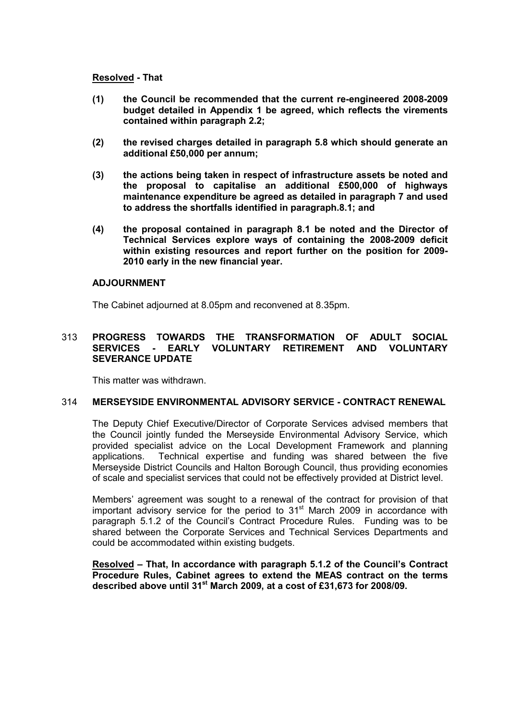## Resolved - That

- (1) the Council be recommended that the current re-engineered 2008-2009 budget detailed in Appendix 1 be agreed, which reflects the virements contained within paragraph 2.2;
- (2) the revised charges detailed in paragraph 5.8 which should generate an additional £50,000 per annum;
- (3) the actions being taken in respect of infrastructure assets be noted and the proposal to capitalise an additional £500,000 of highways maintenance expenditure be agreed as detailed in paragraph 7 and used to address the shortfalls identified in paragraph.8.1; and
- (4) the proposal contained in paragraph 8.1 be noted and the Director of Technical Services explore ways of containing the 2008-2009 deficit within existing resources and report further on the position for 2009- 2010 early in the new financial year.

## ADJOURNMENT

The Cabinet adjourned at 8.05pm and reconvened at 8.35pm.

## 313 PROGRESS TOWARDS THE TRANSFORMATION OF ADULT SOCIAL SERVICES - EARLY VOLUNTARY RETIREMENT AND VOLUNTARY SEVERANCE UPDATE

This matter was withdrawn.

## 314 MERSEYSIDE ENVIRONMENTAL ADVISORY SERVICE - CONTRACT RENEWAL

The Deputy Chief Executive/Director of Corporate Services advised members that the Council jointly funded the Merseyside Environmental Advisory Service, which provided specialist advice on the Local Development Framework and planning applications. Technical expertise and funding was shared between the five Merseyside District Councils and Halton Borough Council, thus providing economies of scale and specialist services that could not be effectively provided at District level.

Members' agreement was sought to a renewal of the contract for provision of that important advisory service for the period to  $31<sup>st</sup>$  March 2009 in accordance with paragraph 5.1.2 of the Council's Contract Procedure Rules. Funding was to be shared between the Corporate Services and Technical Services Departments and could be accommodated within existing budgets.

Resolved – That, In accordance with paragraph 5.1.2 of the Council's Contract Procedure Rules, Cabinet agrees to extend the MEAS contract on the terms described above until 31<sup>st</sup> March 2009, at a cost of £31,673 for 2008/09.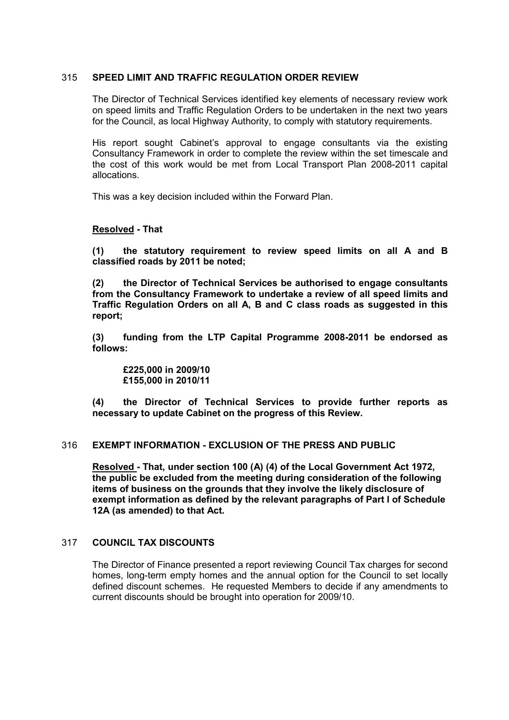## 315 SPEED LIMIT AND TRAFFIC REGULATION ORDER REVIEW

The Director of Technical Services identified key elements of necessary review work on speed limits and Traffic Regulation Orders to be undertaken in the next two years for the Council, as local Highway Authority, to comply with statutory requirements.

His report sought Cabinet's approval to engage consultants via the existing Consultancy Framework in order to complete the review within the set timescale and the cost of this work would be met from Local Transport Plan 2008-2011 capital allocations.

This was a key decision included within the Forward Plan.

## Resolved - That

(1) the statutory requirement to review speed limits on all A and B classified roads by 2011 be noted;

(2) the Director of Technical Services be authorised to engage consultants from the Consultancy Framework to undertake a review of all speed limits and Traffic Regulation Orders on all A, B and C class roads as suggested in this report;

(3) funding from the LTP Capital Programme 2008-2011 be endorsed as follows:

 £225,000 in 2009/10 £155,000 in 2010/11

(4) the Director of Technical Services to provide further reports as necessary to update Cabinet on the progress of this Review.

## 316 EXEMPT INFORMATION - EXCLUSION OF THE PRESS AND PUBLIC

Resolved - That, under section 100 (A) (4) of the Local Government Act 1972, the public be excluded from the meeting during consideration of the following items of business on the grounds that they involve the likely disclosure of exempt information as defined by the relevant paragraphs of Part I of Schedule 12A (as amended) to that Act.

## 317 COUNCIL TAX DISCOUNTS

The Director of Finance presented a report reviewing Council Tax charges for second homes, long-term empty homes and the annual option for the Council to set locally defined discount schemes. He requested Members to decide if any amendments to current discounts should be brought into operation for 2009/10.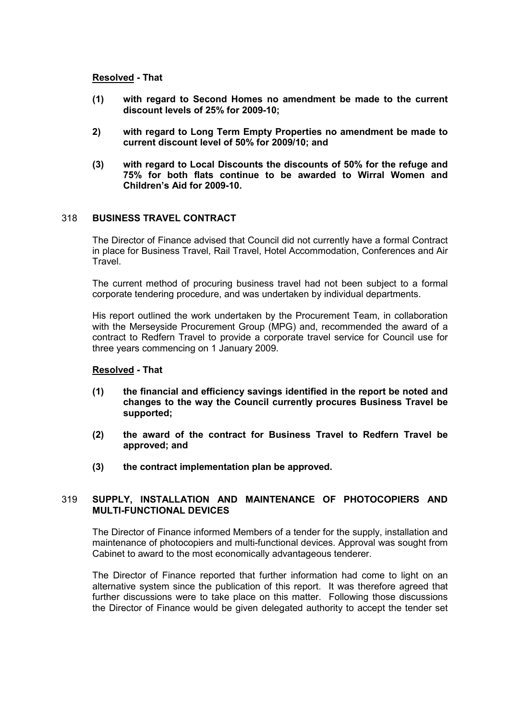## Resolved - That

- (1) with regard to Second Homes no amendment be made to the current discount levels of 25% for 2009-10;
- 2) with regard to Long Term Empty Properties no amendment be made to current discount level of 50% for 2009/10; and
- (3) with regard to Local Discounts the discounts of 50% for the refuge and 75% for both flats continue to be awarded to Wirral Women and Children's Aid for 2009-10.

## 318 BUSINESS TRAVEL CONTRACT

The Director of Finance advised that Council did not currently have a formal Contract in place for Business Travel, Rail Travel, Hotel Accommodation, Conferences and Air **Travel** 

The current method of procuring business travel had not been subject to a formal corporate tendering procedure, and was undertaken by individual departments.

His report outlined the work undertaken by the Procurement Team, in collaboration with the Merseyside Procurement Group (MPG) and, recommended the award of a contract to Redfern Travel to provide a corporate travel service for Council use for three years commencing on 1 January 2009.

#### Resolved - That

- (1) the financial and efficiency savings identified in the report be noted and changes to the way the Council currently procures Business Travel be supported;
- (2) the award of the contract for Business Travel to Redfern Travel be approved; and
- (3) the contract implementation plan be approved.

## 319 SUPPLY, INSTALLATION AND MAINTENANCE OF PHOTOCOPIERS AND MULTI-FUNCTIONAL DEVICES

The Director of Finance informed Members of a tender for the supply, installation and maintenance of photocopiers and multi-functional devices. Approval was sought from Cabinet to award to the most economically advantageous tenderer.

The Director of Finance reported that further information had come to light on an alternative system since the publication of this report. It was therefore agreed that further discussions were to take place on this matter. Following those discussions the Director of Finance would be given delegated authority to accept the tender set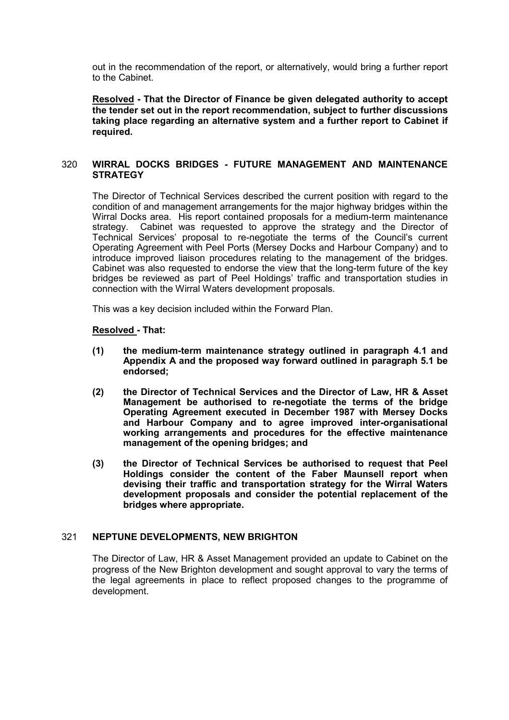out in the recommendation of the report, or alternatively, would bring a further report to the Cabinet.

Resolved - That the Director of Finance be given delegated authority to accept the tender set out in the report recommendation, subject to further discussions taking place regarding an alternative system and a further report to Cabinet if required.

## 320 WIRRAL DOCKS BRIDGES - FUTURE MANAGEMENT AND MAINTENANCE **STRATEGY**

The Director of Technical Services described the current position with regard to the condition of and management arrangements for the major highway bridges within the Wirral Docks area. His report contained proposals for a medium-term maintenance strategy. Cabinet was requested to approve the strategy and the Director of Technical Services' proposal to re-negotiate the terms of the Council's current Operating Agreement with Peel Ports (Mersey Docks and Harbour Company) and to introduce improved liaison procedures relating to the management of the bridges. Cabinet was also requested to endorse the view that the long-term future of the key bridges be reviewed as part of Peel Holdings' traffic and transportation studies in connection with the Wirral Waters development proposals.

This was a key decision included within the Forward Plan.

#### Resolved - That:

- (1) the medium-term maintenance strategy outlined in paragraph 4.1 and Appendix A and the proposed way forward outlined in paragraph 5.1 be endorsed;
- (2) the Director of Technical Services and the Director of Law, HR & Asset Management be authorised to re-negotiate the terms of the bridge Operating Agreement executed in December 1987 with Mersey Docks and Harbour Company and to agree improved inter-organisational working arrangements and procedures for the effective maintenance management of the opening bridges; and
- (3) the Director of Technical Services be authorised to request that Peel Holdings consider the content of the Faber Maunsell report when devising their traffic and transportation strategy for the Wirral Waters development proposals and consider the potential replacement of the bridges where appropriate.

#### 321 NEPTUNE DEVELOPMENTS, NEW BRIGHTON

The Director of Law, HR & Asset Management provided an update to Cabinet on the progress of the New Brighton development and sought approval to vary the terms of the legal agreements in place to reflect proposed changes to the programme of development.